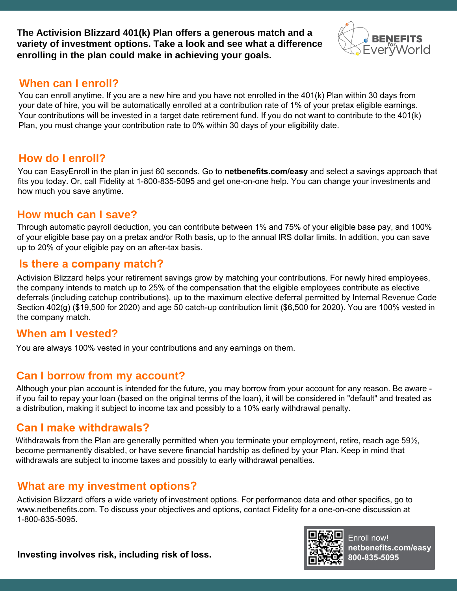**The Activision Blizzard 401(k) Plan offers a generous match and a variety of investment options. Take a look and see what a difference enrolling in the plan could make in achieving your goals.**

# EvervWorld

### **When can I enroll?**

You can enroll anytime. If you are a new hire and you have not enrolled in the 401(k) Plan within 30 days from your date of hire, you will be automatically enrolled at a contribution rate of 1% of your pretax eligible earnings. Your contributions will be invested in a target date retirement fund. If you do not want to contribute to the 401(k) Plan, you must change your contribution rate to 0% within 30 days of your eligibility date.

## **How do I enroll?**

You can EasyEnroll in the plan in just 60 seconds. Go to **netbenefits.com/easy** and select a savings approach that fits you today. Or, call Fidelity at 1-800-835-5095 and get one-on-one help. You can change your investments and how much you save anytime.

## **How much can I save?**

Through automatic payroll deduction, you can contribute between 1% and 75% of your eligible base pay, and 100% of your eligible base pay on a pretax and/or Roth basis, up to the annual IRS dollar limits. In addition, you can save up to 20% of your eligible pay on an after-tax basis.

#### **Is there a company match?**

Activision Blizzard helps your retirement savings grow by matching your contributions. For newly hired employees, the company intends to match up to 25% of the compensation that the eligible employees contribute as elective deferrals (including catchup contributions), up to the maximum elective deferral permitted by Internal Revenue Code Section 402(g) (\$19,500 for 2020) and age 50 catch-up contribution limit (\$6,500 for 2020). You are 100% vested in the company match.

## **When am I vested?**

You are always 100% vested in your contributions and any earnings on them.

## **Can I borrow from my account?**

Although your plan account is intended for the future, you may borrow from your account for any reason. Be aware if you fail to repay your loan (based on the original terms of the loan), it will be considered in "default" and treated as a distribution, making it subject to income tax and possibly to a 10% early withdrawal penalty.

## **Can I make withdrawals?**

Withdrawals from the Plan are generally permitted when you terminate your employment, retire, reach age 59<sup>1</sup>/<sub>2</sub>, become permanently disabled, or have severe financial hardship as defined by your Plan. Keep in mind that withdrawals are subject to income taxes and possibly to early withdrawal penalties.

## **What are my investment options?**

Activision Blizzard offers a wide variety of investment options. For performance data and other specifics, go to www.netbenefits.com. To discuss your objectives and options, contact Fidelity for a one-on-one discussion at 1-800-835-5095.



Enroll now! **netbenefits.com/easy 800-835-5095**

**Investing involves risk, including risk of loss.**